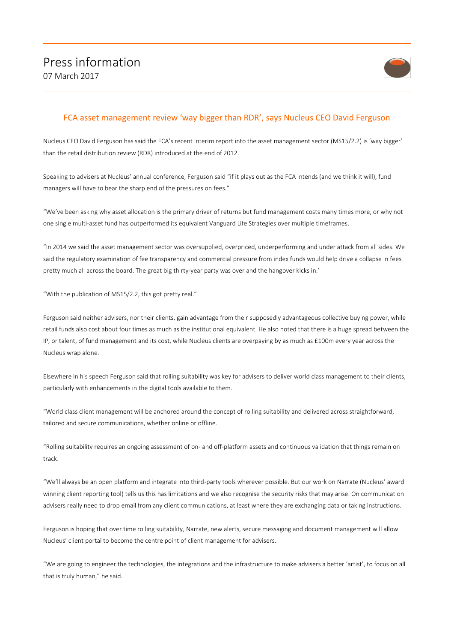

## FCA asset management review 'way bigger than RDR', says Nucleus CEO David Ferguson

Nucleus CEO David Ferguson has said the FCA's recent interim report into the asset management sector (MS15/2.2) is 'way bigger' than the retail distribution review (RDR) introduced at the end of 2012.

Speaking to advisers at Nucleus' annual conference, Ferguson said "if it plays out as the FCA intends (and we think it will), fund managers will have to bear the sharp end of the pressures on fees."

"We've been asking why asset allocation is the primary driver of returns but fund management costs many times more, or why not one single multi-asset fund has outperformed its equivalent Vanguard Life Strategies over multiple timeframes.

"In 2014 we said the asset management sector was oversupplied, overpriced, underperforming and under attack from all sides. We said the regulatory examination of fee transparency and commercial pressure from index funds would help drive a collapse in fees pretty much all across the board. The great big thirty-year party was over and the hangover kicks in.'

"With the publication of MS15/2.2, this got pretty real."

Ferguson said neither advisers, nor their clients, gain advantage from their supposedly advantageous collective buying power, while retail funds also cost about four times as much as the institutional equivalent. He also noted that there is a huge spread between the IP, or talent, of fund management and its cost, while Nucleus clients are overpaying by as much as £100m every year across the Nucleus wrap alone.

Elsewhere in his speech Ferguson said that rolling suitability was key for advisers to deliver world class management to their clients, particularly with enhancements in the digital tools available to them.

"World class client management will be anchored around the concept of rolling suitability and delivered across straightforward, tailored and secure communications, whether online or offline.

"Rolling suitability requires an ongoing assessment of on- and off-platform assets and continuous validation that things remain on track.

"We'll always be an open platform and integrate into third-party tools wherever possible. But our work on Narrate (Nucleus' award winning client reporting tool) tells us this has limitations and we also recognise the security risks that may arise. On communication advisers really need to drop email from any client communications, at least where they are exchanging data or taking instructions.

Ferguson is hoping that over time rolling suitability, Narrate, new alerts, secure messaging and document management will allow Nucleus' client portal to become the centre point of client management for advisers.

"We are going to engineer the technologies, the integrations and the infrastructure to make advisers a better 'artist', to focus on all that is truly human," he said.